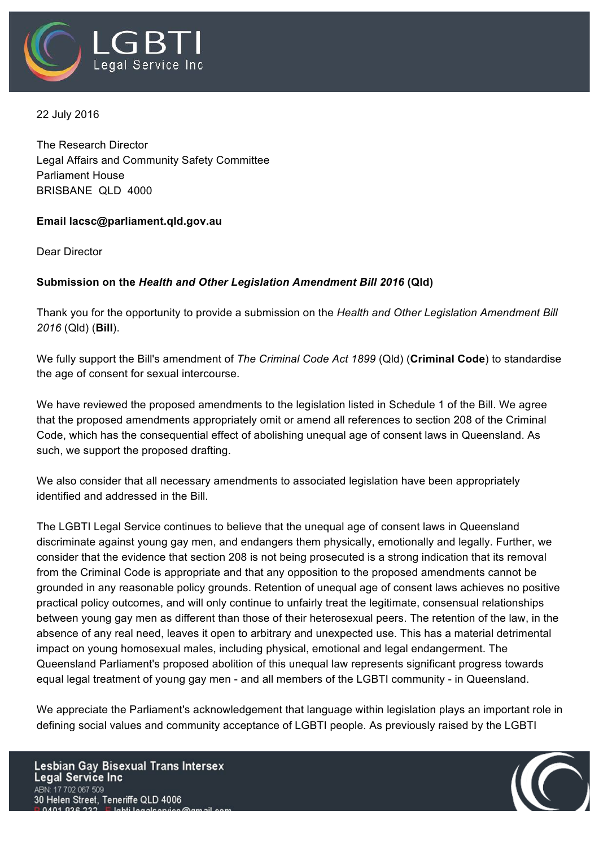

22 July 2016

The Research Director Legal Affairs and Community Safety Committee Parliament House BRISBANE QLD 4000

## **Email lacsc@parliament.qld.gov.au**

Dear Director

## **Submission on the** *Health and Other Legislation Amendment Bill 2016* **(Qld)**

Thank you for the opportunity to provide a submission on the *Health and Other Legislation Amendment Bill 2016* (Qld) (**Bill**).

We fully support the Bill's amendment of *The Criminal Code Act 1899* (Qld) (**Criminal Code**) to standardise the age of consent for sexual intercourse.

We have reviewed the proposed amendments to the legislation listed in Schedule 1 of the Bill. We agree that the proposed amendments appropriately omit or amend all references to section 208 of the Criminal Code, which has the consequential effect of abolishing unequal age of consent laws in Queensland. As such, we support the proposed drafting.

We also consider that all necessary amendments to associated legislation have been appropriately identified and addressed in the Bill.

The LGBTI Legal Service continues to believe that the unequal age of consent laws in Queensland discriminate against young gay men, and endangers them physically, emotionally and legally. Further, we consider that the evidence that section 208 is not being prosecuted is a strong indication that its removal from the Criminal Code is appropriate and that any opposition to the proposed amendments cannot be grounded in any reasonable policy grounds. Retention of unequal age of consent laws achieves no positive practical policy outcomes, and will only continue to unfairly treat the legitimate, consensual relationships between young gay men as different than those of their heterosexual peers. The retention of the law, in the absence of any real need, leaves it open to arbitrary and unexpected use. This has a material detrimental impact on young homosexual males, including physical, emotional and legal endangerment. The Queensland Parliament's proposed abolition of this unequal law represents significant progress towards equal legal treatment of young gay men - and all members of the LGBTI community - in Queensland.

We appreciate the Parliament's acknowledgement that language within legislation plays an important role in defining social values and community acceptance of LGBTI people. As previously raised by the LGBTI